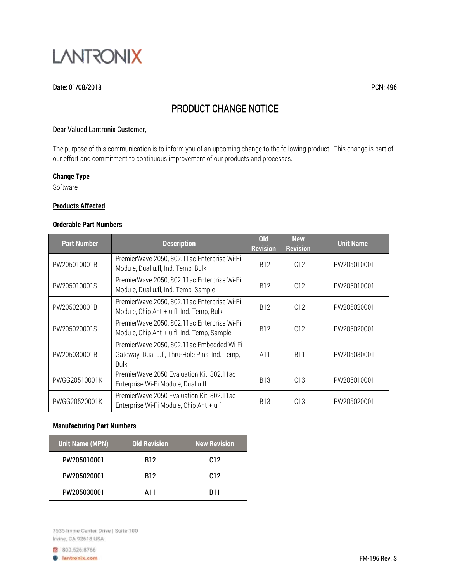

# Date: 01/08/2018 PCN: 496

# PRODUCT CHANGE NOTICE

#### Dear Valued Lantronix Customer,

The purpose of this communication is to inform you of an upcoming change to the following product. This change is part of our effort and commitment to continuous improvement of our products and processes.

## **Change Type**

Software

#### **Products Affected**

# **Orderable Part Numbers**

| <b>Part Number</b> | <b>Description</b>                                                                                         | <b>Old</b><br><b>Revision</b> | <b>New</b><br><b>Revision</b> | <b>Unit Name</b> |
|--------------------|------------------------------------------------------------------------------------------------------------|-------------------------------|-------------------------------|------------------|
| PW205010001B       | PremierWave 2050, 802.11ac Enterprise Wi-Fi<br>Module, Dual u.fl, Ind. Temp, Bulk                          | B <sub>12</sub>               | C12                           | PW205010001      |
| PW205010001S       | PremierWave 2050, 802.11ac Enterprise Wi-Fi<br>Module, Dual u.fl, Ind. Temp, Sample                        | B <sub>12</sub>               | C12                           | PW205010001      |
| PW205020001B       | PremierWave 2050, 802.11ac Enterprise Wi-Fi<br>Module, Chip Ant + u.fl, Ind. Temp, Bulk                    | B <sub>12</sub>               | C12                           | PW205020001      |
| PW205020001S       | PremierWave 2050, 802.11ac Enterprise Wi-Fi<br>Module, Chip Ant + u.fl, Ind. Temp, Sample                  | B <sub>12</sub>               | C12                           | PW205020001      |
| PW205030001B       | PremierWave 2050, 802.11ac Embedded Wi-Fi<br>Gateway, Dual u.fl, Thru-Hole Pins, Ind. Temp,<br><b>Bulk</b> | A11                           | <b>B11</b>                    | PW205030001      |
| PWGG20510001K      | PremierWave 2050 Evaluation Kit, 802.11ac<br>Enterprise Wi-Fi Module, Dual u.fl                            | <b>B13</b>                    | C13                           | PW205010001      |
| PWGG20520001K      | PremierWave 2050 Evaluation Kit, 802.11ac<br>Enterprise Wi-Fi Module, Chip Ant + u.fl                      | <b>B13</b>                    | C13                           | PW205020001      |

# **Manufacturing Part Numbers**

| <b>Unit Name (MPN)</b> | <b>Old Revision</b> | <b>New Revision</b> |
|------------------------|---------------------|---------------------|
| PW205010001            | <b>B12</b>          | C <sub>12</sub>     |
| PW205020001            | <b>B12</b>          | C <sub>12</sub>     |
| PW205030001            | A11                 | <b>B11</b>          |

7535 Irvine Center Drive | Suite 100 Irvine, CA 92618 USA

8 800.526.8766 **B** lantronix.com